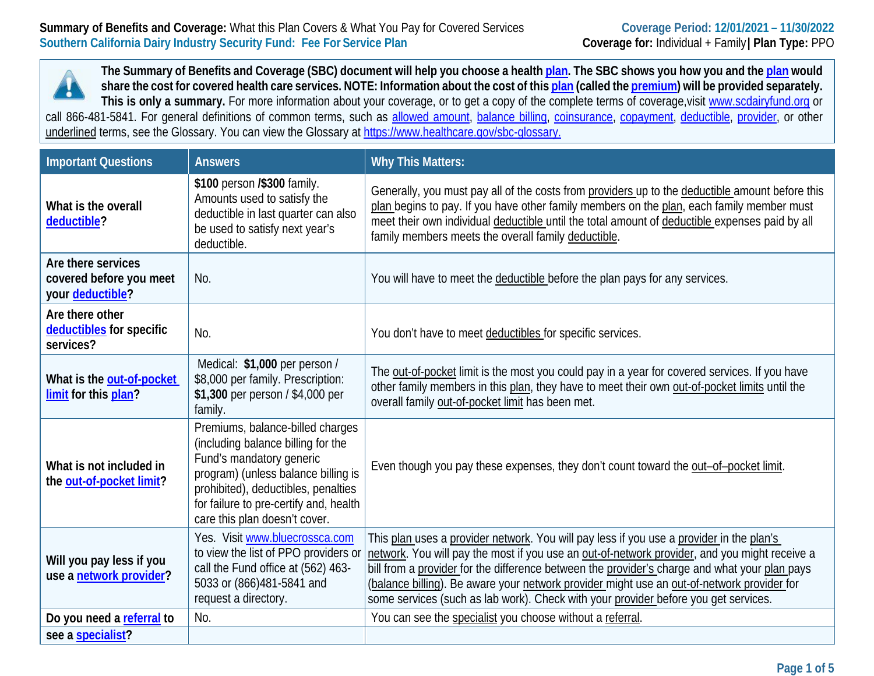**The Summary of Benefits and Coverage (SBC) document will help you choose a healt[h plan.](https://www.healthcare.gov/sbc-glossary/#plan) The SBC shows you how you and th[e plan](https://www.healthcare.gov/sbc-glossary/#plan) would share the cost for covered health care services. NOTE: Information about the cost of thi[s plan](https://www.healthcare.gov/sbc-glossary/#plan) (called the [premium\)](https://www.healthcare.gov/sbc-glossary/#premium) will be provided separately.**  Ţ **This is only a summary.** For more information about your coverage, or to get a copy of the complete terms of coverage,visit [www.scdairyfund.org](http://www.scdairyfund.org/) or call 866-481-5841. For general definitions of common terms, such as [allowed amount,](https://www.healthcare.gov/sbc-glossary/#allowed-amount) [balance billing,](https://www.healthcare.gov/sbc-glossary/#balance-billing) [coinsurance,](https://www.healthcare.gov/sbc-glossary/#coinsurance) [copayment,](https://www.healthcare.gov/sbc-glossary/#copayment) [deductible,](https://www.healthcare.gov/sbc-glossary/#deductible) [provider,](https://www.healthcare.gov/sbc-glossary/#provider) or other underlined terms, see the Glossary. You can view the Glossary at<https://www.healthcare.gov/sbc-glossary.>

| <b>Important Questions</b>                                        | <b>Answers</b>                                                                                                                                                                                                                                              | <b>Why This Matters:</b>                                                                                                                                                                                                                                                                                                                                                                                                                                                        |
|-------------------------------------------------------------------|-------------------------------------------------------------------------------------------------------------------------------------------------------------------------------------------------------------------------------------------------------------|---------------------------------------------------------------------------------------------------------------------------------------------------------------------------------------------------------------------------------------------------------------------------------------------------------------------------------------------------------------------------------------------------------------------------------------------------------------------------------|
| What is the overall<br>deductible?                                | \$100 person /\$300 family.<br>Amounts used to satisfy the<br>deductible in last quarter can also<br>be used to satisfy next year's<br>deductible.                                                                                                          | Generally, you must pay all of the costs from providers up to the deductible amount before this<br>plan begins to pay. If you have other family members on the plan, each family member must<br>meet their own individual deductible until the total amount of deductible expenses paid by all<br>family members meets the overall family deductible.                                                                                                                           |
| Are there services<br>covered before you meet<br>your deductible? | No.                                                                                                                                                                                                                                                         | You will have to meet the deductible before the plan pays for any services.                                                                                                                                                                                                                                                                                                                                                                                                     |
| Are there other<br>deductibles for specific<br>services?          | No.                                                                                                                                                                                                                                                         | You don't have to meet deductibles for specific services.                                                                                                                                                                                                                                                                                                                                                                                                                       |
| What is the out-of-pocket<br>limit for this plan?                 | Medical: \$1,000 per person /<br>\$8,000 per family. Prescription:<br>\$1,300 per person / \$4,000 per<br>family.                                                                                                                                           | The out-of-pocket limit is the most you could pay in a year for covered services. If you have<br>other family members in this plan, they have to meet their own out-of-pocket limits until the<br>overall family out-of-pocket limit has been met.                                                                                                                                                                                                                              |
| What is not included in<br>the out-of-pocket limit?               | Premiums, balance-billed charges<br>(including balance billing for the<br>Fund's mandatory generic<br>program) (unless balance billing is<br>prohibited), deductibles, penalties<br>for failure to pre-certify and, health<br>care this plan doesn't cover. | Even though you pay these expenses, they don't count toward the out-of-pocket limit.                                                                                                                                                                                                                                                                                                                                                                                            |
| Will you pay less if you<br>use a network provider?               | Yes. Visit www.bluecrossca.com<br>to view the list of PPO providers or<br>call the Fund office at (562) 463-<br>5033 or (866)481-5841 and<br>request a directory.                                                                                           | This plan uses a provider network. You will pay less if you use a provider in the plan's<br>network. You will pay the most if you use an out-of-network provider, and you might receive a<br>bill from a provider for the difference between the provider's charge and what your plan pays<br>(balance billing). Be aware your network provider might use an out-of-network provider for<br>some services (such as lab work). Check with your provider before you get services. |
| Do you need a referral to                                         | No.                                                                                                                                                                                                                                                         | You can see the specialist you choose without a referral.                                                                                                                                                                                                                                                                                                                                                                                                                       |
| see a specialist?                                                 |                                                                                                                                                                                                                                                             |                                                                                                                                                                                                                                                                                                                                                                                                                                                                                 |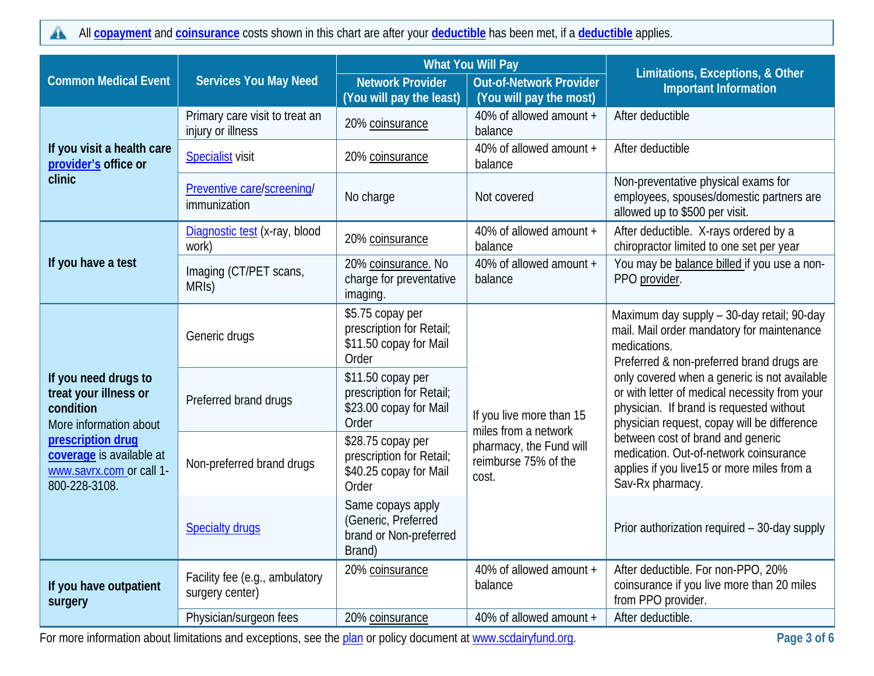All **[copayment](https://www.healthcare.gov/sbc-glossary/#copayment)** and **[coinsurance](https://www.healthcare.gov/sbc-glossary/#coinsurance)** costs shown in this chart are after your **[deductible](https://www.healthcare.gov/sbc-glossary/#deductible)** has been met, if a **[deductible](https://www.healthcare.gov/sbc-glossary/#deductible)** applies.  $\blacktriangle$ 

|                                                                                            |                                                     | <b>What You Will Pay</b>                                                         |                                                                                                              | Limitations, Exceptions, & Other                                                                                                                                                                                                                                                                                                                                                                                                                                                                   |                                              |
|--------------------------------------------------------------------------------------------|-----------------------------------------------------|----------------------------------------------------------------------------------|--------------------------------------------------------------------------------------------------------------|----------------------------------------------------------------------------------------------------------------------------------------------------------------------------------------------------------------------------------------------------------------------------------------------------------------------------------------------------------------------------------------------------------------------------------------------------------------------------------------------------|----------------------------------------------|
| <b>Common Medical Event</b>                                                                | <b>Services You May Need</b>                        | <b>Network Provider</b><br>(You will pay the least)                              | <b>Out-of-Network Provider</b><br>(You will pay the most)                                                    | <b>Important Information</b>                                                                                                                                                                                                                                                                                                                                                                                                                                                                       |                                              |
|                                                                                            | Primary care visit to treat an<br>injury or illness | 20% coinsurance                                                                  | 40% of allowed amount +<br>balance                                                                           | After deductible                                                                                                                                                                                                                                                                                                                                                                                                                                                                                   |                                              |
| If you visit a health care<br>provider's office or                                         | <b>Specialist</b> visit                             | 20% coinsurance                                                                  | 40% of allowed amount +<br>balance                                                                           | After deductible                                                                                                                                                                                                                                                                                                                                                                                                                                                                                   |                                              |
| clinic                                                                                     | Preventive care/screening/<br>immunization          | No charge                                                                        | Not covered                                                                                                  | Non-preventative physical exams for<br>employees, spouses/domestic partners are<br>allowed up to \$500 per visit.                                                                                                                                                                                                                                                                                                                                                                                  |                                              |
|                                                                                            | Diagnostic test (x-ray, blood<br>work)              | 20% coinsurance                                                                  | 40% of allowed amount +<br>balance                                                                           | After deductible. X-rays ordered by a<br>chiropractor limited to one set per year                                                                                                                                                                                                                                                                                                                                                                                                                  |                                              |
| If you have a test                                                                         | Imaging (CT/PET scans,<br>MRIS)                     | 20% coinsurance. No<br>charge for preventative<br>imaging.                       | 40% of allowed amount +<br>balance                                                                           | You may be balance billed if you use a non-<br>PPO provider.                                                                                                                                                                                                                                                                                                                                                                                                                                       |                                              |
|                                                                                            | Generic drugs                                       | \$5.75 copay per<br>prescription for Retail;<br>\$11.50 copay for Mail<br>Order  | If you live more than 15<br>miles from a network<br>pharmacy, the Fund will<br>reimburse 75% of the<br>cost. | Maximum day supply - 30-day retail; 90-day<br>mail. Mail order mandatory for maintenance<br>medications.<br>Preferred & non-preferred brand drugs are<br>only covered when a generic is not available<br>or with letter of medical necessity from your<br>physician. If brand is requested without<br>physician request, copay will be difference<br>between cost of brand and generic<br>medication. Out-of-network coinsurance<br>applies if you live15 or more miles from a<br>Sav-Rx pharmacy. |                                              |
| If you need drugs to<br>treat your illness or<br>condition<br>More information about       | Preferred brand drugs                               | \$11.50 copay per<br>prescription for Retail;<br>\$23.00 copay for Mail<br>Order |                                                                                                              |                                                                                                                                                                                                                                                                                                                                                                                                                                                                                                    |                                              |
| prescription drug<br>coverage is available at<br>www.savrx.com or call 1-<br>800-228-3108. | Non-preferred brand drugs                           | \$28.75 copay per<br>prescription for Retail;<br>\$40.25 copay for Mail<br>Order |                                                                                                              |                                                                                                                                                                                                                                                                                                                                                                                                                                                                                                    |                                              |
|                                                                                            | <b>Specialty drugs</b>                              | Same copays apply<br>(Generic, Preferred<br>brand or Non-preferred<br>Brand)     |                                                                                                              |                                                                                                                                                                                                                                                                                                                                                                                                                                                                                                    | Prior authorization required - 30-day supply |
| If you have outpatient<br>surgery                                                          | Facility fee (e.g., ambulatory<br>surgery center)   | 20% coinsurance                                                                  | 40% of allowed amount +<br>balance                                                                           | After deductible. For non-PPO, 20%<br>coinsurance if you live more than 20 miles<br>from PPO provider.                                                                                                                                                                                                                                                                                                                                                                                             |                                              |
|                                                                                            | Physician/surgeon fees                              | 20% coinsurance                                                                  | 40% of allowed amount +                                                                                      | After deductible.                                                                                                                                                                                                                                                                                                                                                                                                                                                                                  |                                              |

For more information about limitations and exceptions, see the [plan](https://www.healthcare.gov/sbc-glossary/#plan) or policy document at [www.scdairyfund.org.](http://www.scdairyfund.org/)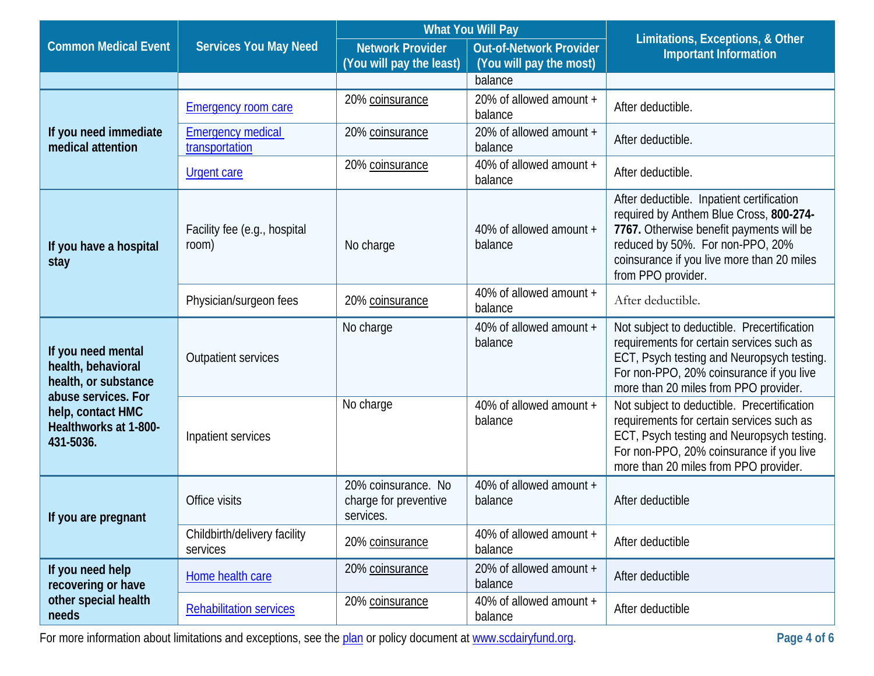|                                                                                |                                            | <b>What You Will Pay</b>                                  |                                                           | Limitations, Exceptions, & Other                                                                                                                                                                                                         |
|--------------------------------------------------------------------------------|--------------------------------------------|-----------------------------------------------------------|-----------------------------------------------------------|------------------------------------------------------------------------------------------------------------------------------------------------------------------------------------------------------------------------------------------|
| <b>Common Medical Event</b>                                                    | <b>Services You May Need</b>               | <b>Network Provider</b><br>(You will pay the least)       | <b>Out-of-Network Provider</b><br>(You will pay the most) | <b>Important Information</b>                                                                                                                                                                                                             |
|                                                                                |                                            |                                                           | balance                                                   |                                                                                                                                                                                                                                          |
|                                                                                | <b>Emergency room care</b>                 | 20% coinsurance                                           | 20% of allowed amount +<br>balance                        | After deductible.                                                                                                                                                                                                                        |
| If you need immediate<br>medical attention                                     | <b>Emergency medical</b><br>transportation | 20% coinsurance                                           | 20% of allowed amount +<br>balance                        | After deductible.                                                                                                                                                                                                                        |
|                                                                                | <b>Urgent care</b>                         | 20% coinsurance                                           | 40% of allowed amount +<br>balance                        | After deductible.                                                                                                                                                                                                                        |
| If you have a hospital<br>stay                                                 | Facility fee (e.g., hospital<br>room)      | No charge                                                 | 40% of allowed amount +<br>balance                        | After deductible. Inpatient certification<br>required by Anthem Blue Cross, 800-274-<br>7767. Otherwise benefit payments will be<br>reduced by 50%. For non-PPO, 20%<br>coinsurance if you live more than 20 miles<br>from PPO provider. |
|                                                                                | Physician/surgeon fees                     | 20% coinsurance                                           | 40% of allowed amount +<br>balance                        | After deductible.                                                                                                                                                                                                                        |
| If you need mental<br>health, behavioral<br>health, or substance               | <b>Outpatient services</b>                 | No charge                                                 | 40% of allowed amount +<br>balance                        | Not subject to deductible. Precertification<br>requirements for certain services such as<br>ECT, Psych testing and Neuropsych testing.<br>For non-PPO, 20% coinsurance if you live<br>more than 20 miles from PPO provider.              |
| abuse services. For<br>help, contact HMC<br>Healthworks at 1-800-<br>431-5036. | Inpatient services                         | No charge                                                 | 40% of allowed amount +<br>balance                        | Not subject to deductible. Precertification<br>requirements for certain services such as<br>ECT, Psych testing and Neuropsych testing.<br>For non-PPO, 20% coinsurance if you live<br>more than 20 miles from PPO provider.              |
| If you are pregnant                                                            | Office visits                              | 20% coinsurance. No<br>charge for preventive<br>services. | 40% of allowed amount +<br>balance                        | After deductible                                                                                                                                                                                                                         |
|                                                                                | Childbirth/delivery facility<br>services   | 20% coinsurance                                           | 40% of allowed amount +<br>balance                        | After deductible                                                                                                                                                                                                                         |
| If you need help<br>recovering or have                                         | Home health care                           | 20% coinsurance                                           | 20% of allowed amount +<br>balance                        | After deductible                                                                                                                                                                                                                         |
| other special health<br>needs                                                  | <b>Rehabilitation services</b>             | 20% coinsurance                                           | 40% of allowed amount +<br>balance                        | After deductible                                                                                                                                                                                                                         |

For more information about limitations and exceptions, see the [plan](https://www.healthcare.gov/sbc-glossary/#plan) or policy document at [www.scdairyfund.org.](http://www.scdairyfund.org/)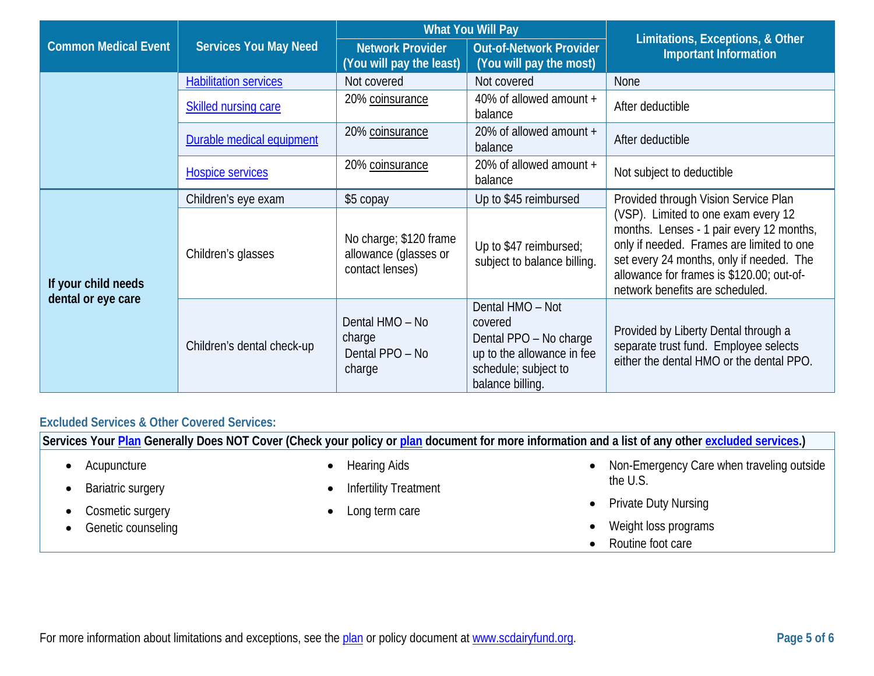|                             |                                                | <b>What You Will Pay</b>                                           |                                                                                                                                 | Limitations, Exceptions, & Other                                                                                                                                                                                                                         |  |
|-----------------------------|------------------------------------------------|--------------------------------------------------------------------|---------------------------------------------------------------------------------------------------------------------------------|----------------------------------------------------------------------------------------------------------------------------------------------------------------------------------------------------------------------------------------------------------|--|
| <b>Common Medical Event</b> | <b>Services You May Need</b>                   | <b>Network Provider</b><br>(You will pay the least)                | <b>Out-of-Network Provider</b><br>(You will pay the most)                                                                       | <b>Important Information</b>                                                                                                                                                                                                                             |  |
|                             | <b>Habilitation services</b>                   | Not covered                                                        | Not covered                                                                                                                     | None                                                                                                                                                                                                                                                     |  |
|                             | <b>Skilled nursing care</b>                    | 20% coinsurance                                                    | 40% of allowed amount +<br>balance                                                                                              | After deductible                                                                                                                                                                                                                                         |  |
|                             | Durable medical equipment                      | 20% coinsurance                                                    | 20% of allowed amount +<br>balance                                                                                              | After deductible                                                                                                                                                                                                                                         |  |
|                             | <b>Hospice services</b>                        | 20% coinsurance                                                    | 20% of allowed amount +<br>balance                                                                                              | Not subject to deductible                                                                                                                                                                                                                                |  |
|                             | Children's eye exam                            | \$5 copay                                                          | Up to \$45 reimbursed                                                                                                           | Provided through Vision Service Plan                                                                                                                                                                                                                     |  |
| If your child needs         | Children's glasses                             | No charge; \$120 frame<br>allowance (glasses or<br>contact lenses) | Up to \$47 reimbursed;<br>subject to balance billing.                                                                           | (VSP). Limited to one exam every 12<br>months. Lenses - 1 pair every 12 months,<br>only if needed. Frames are limited to one<br>set every 24 months, only if needed. The<br>allowance for frames is \$120.00; out-of-<br>network benefits are scheduled. |  |
| dental or eye care          | charge<br>Children's dental check-up<br>charge | Dental HMO - No<br>Dental PPO - No                                 | Dental HMO - Not<br>covered<br>Dental PPO - No charge<br>up to the allowance in fee<br>schedule; subject to<br>balance billing. | Provided by Liberty Dental through a<br>separate trust fund. Employee selects<br>either the dental HMO or the dental PPO.                                                                                                                                |  |

## **Excluded Services & Other Covered Services:**

**Services Your [Plan](https://www.healthcare.gov/sbc-glossary/#plan) Generally Does NOT Cover (Check your policy or [plan](https://www.healthcare.gov/sbc-glossary/#plan) document for more information and a list of any other [excluded services.](https://www.healthcare.gov/sbc-glossary/#excluded-services))**

- Acupuncture
- Bariatric surgery
- Cosmetic surgery
- Genetic counseling
- Hearing Aids
- **Infertility Treatment**
- Long term care
- Non-Emergency Care when traveling outside the U.S.
- Private Duty Nursing
- Weight loss programs
- Routine foot care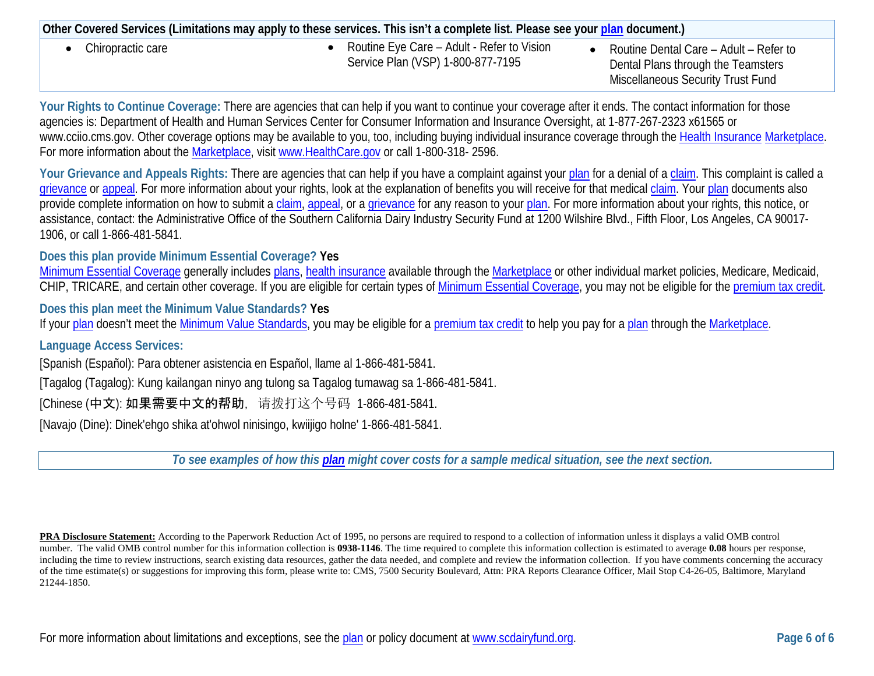| Other Covered Services (Limitations may apply to these services. This isn't a complete list. Please see your plan document.) |                                                                                 |                                                                                                                          |  |  |
|------------------------------------------------------------------------------------------------------------------------------|---------------------------------------------------------------------------------|--------------------------------------------------------------------------------------------------------------------------|--|--|
| Chiropractic care                                                                                                            | Routine Eye Care – Adult - Refer to Vision<br>Service Plan (VSP) 1-800-877-7195 | Routine Dental Care - Adult - Refer to<br>Dental Plans through the Teamsters<br><b>Miscellaneous Security Trust Fund</b> |  |  |

Your Rights to Continue Coverage: There are agencies that can help if you want to continue your coverage after it ends. The contact information for those agencies is: Department of Health and Human Services Center for Consumer Information and Insurance Oversight, at 1-877-267-2323 x61565 or [www.cciio.cms.gov.](http://www.cciio.cms.gov/) Other coverage options may be available to you, too, including buying individual insurance coverage through the [Health Insurance](https://www.healthcare.gov/sbc-glossary/#health-insurance) [Marketplace.](https://www.healthcare.gov/sbc-glossary/#marketplace) For more information about the [Marketplace,](https://www.healthcare.gov/sbc-glossary/#marketplace) visit [www.HealthCare.gov](http://www.healthcare.gov/) or call 1-800-318- 2596.

Your Grievance and Appeals Rights: There are agencies that can help if you have a complaint against your [plan](https://www.healthcare.gov/sbc-glossary/#plan) for a denial of a [claim.](https://www.healthcare.gov/sbc-glossary/#claim) This complaint is called a [grievance](https://www.healthcare.gov/sbc-glossary/#grievance) or [appeal.](https://www.healthcare.gov/sbc-glossary/#appeal) For more information about your rights, look at the explanation of benefits you will receive for that medical [claim.](https://www.healthcare.gov/sbc-glossary/#claim) Your [plan](https://www.healthcare.gov/sbc-glossary/#plan) documents also provide complete information on how to submit a [claim,](https://www.healthcare.gov/sbc-glossary/#claim) [appeal,](https://www.healthcare.gov/sbc-glossary/#appeal) or a [grievance](https://www.healthcare.gov/sbc-glossary/#grievance) for any reason to your [plan.](https://www.healthcare.gov/sbc-glossary/#plan) For more information about your rights, this notice, or assistance, contact: the Administrative Office of the Southern California Dairy Industry Security Fund at 1200 Wilshire Blvd., Fifth Floor, Los Angeles, CA 90017- 1906, or call 1-866-481-5841.

**Does this plan provide Minimum Essential Coverage? Yes**

[Minimum Essential Coverage](https://www.healthcare.gov/sbc-glossary/#minimum-essential-coverage) generally includes [plans,](https://www.healthcare.gov/sbc-glossary/#plan) [health insurance](https://www.healthcare.gov/sbc-glossary/#health-insurance) available through the [Marketplace](https://www.healthcare.gov/sbc-glossary/#marketplace) or other individual market policies, Medicare, Medicaid, CHIP, TRICARE, and certain other coverage. If you are eligible for certain types of [Minimum Essential Coverage,](https://www.healthcare.gov/sbc-glossary/#minimum-essential-coverage) you may not be eligible for the [premium tax credit.](https://www.healthcare.gov/sbc-glossary/#premium-tax-credits)

**Does this plan meet the Minimum Value Standards? Yes**

If your [plan](https://www.healthcare.gov/sbc-glossary/#plan) doesn't meet the [Minimum Value Standards,](https://www.healthcare.gov/sbc-glossary/#minimum-value-standard) you may be eligible for a [premium tax credit](https://www.healthcare.gov/sbc-glossary/#premium-tax-credits) to help you pay for a plan through the [Marketplace.](https://www.healthcare.gov/sbc-glossary/#marketplace)

## **Language Access Services:**

[Spanish (Español): Para obtener asistencia en Español, llame al 1-866-481-5841.

[Tagalog (Tagalog): Kung kailangan ninyo ang tulong sa Tagalog tumawag sa 1-866-481-5841.

[Chinese (中文): 如果需要中文的帮助, 请拨打这个号码 1-866-481-5841.

[Navajo (Dine): Dinek'ehgo shika at'ohwol ninisingo, kwiijigo holne' 1-866-481-5841.

*To see examples of how this [plan](https://www.healthcare.gov/sbc-glossary/#plan) might cover costs for a sample medical situation, see the next section.*

**PRA Disclosure Statement:** According to the Paperwork Reduction Act of 1995, no persons are required to respond to a collection of information unless it displays a valid OMB control number. The valid OMB control number for this information collection is **0938-1146**. The time required to complete this information collection is estimated to average **0.08** hours per response, including the time to review instructions, search existing data resources, gather the data needed, and complete and review the information collection. If you have comments concerning the accuracy of the time estimate(s) or suggestions for improving this form, please write to: CMS, 7500 Security Boulevard, Attn: PRA Reports Clearance Officer, Mail Stop C4-26-05, Baltimore, Maryland 21244-1850.